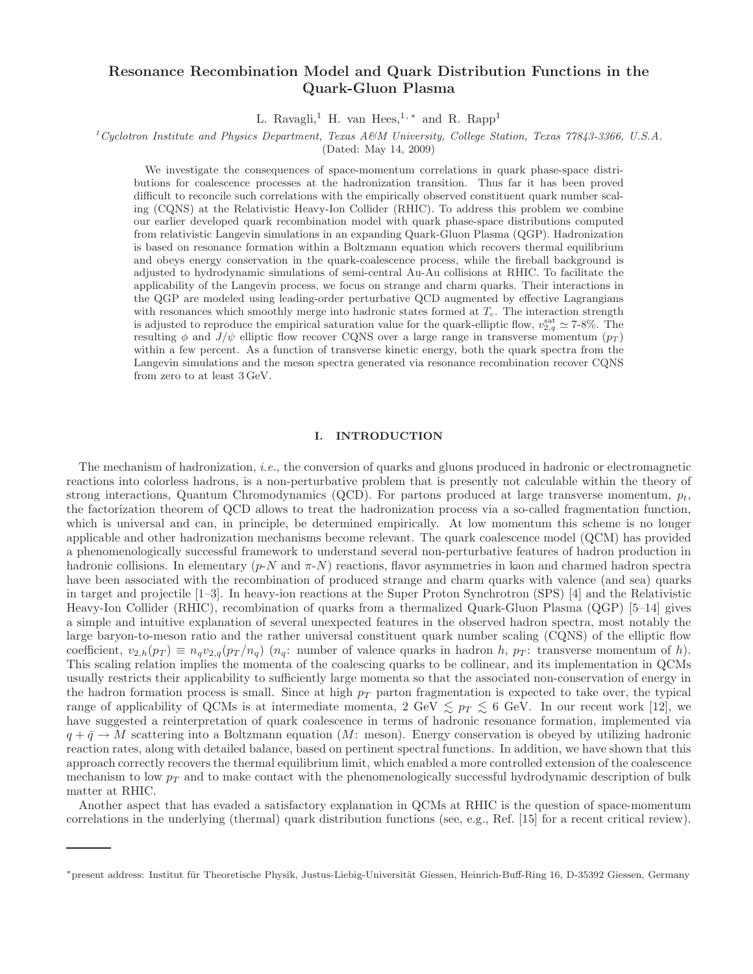# Resonance Recombination Model and Quark Distribution Functions in the Quark-Gluon Plasma

L. Ravagli,<sup>1</sup> H. van Hees,<sup>1,\*</sup> and R. Rapp<sup>1</sup>

## $1C_1$ Cyclotron Institute and Physics Department, Texas A&M University, College Station, Texas 77843-3366, U.S.A.

(Dated: May 14, 2009)

We investigate the consequences of space-momentum correlations in quark phase-space distributions for coalescence processes at the hadronization transition. Thus far it has been proved difficult to reconcile such correlations with the empirically observed constituent quark number scaling (CQNS) at the Relativistic Heavy-Ion Collider (RHIC). To address this problem we combine our earlier developed quark recombination model with quark phase-space distributions computed from relativistic Langevin simulations in an expanding Quark-Gluon Plasma (QGP). Hadronization is based on resonance formation within a Boltzmann equation which recovers thermal equilibrium and obeys energy conservation in the quark-coalescence process, while the fireball background is adjusted to hydrodynamic simulations of semi-central Au-Au collisions at RHIC. To facilitate the applicability of the Langevin process, we focus on strange and charm quarks. Their interactions in the QGP are modeled using leading-order perturbative QCD augmented by effective Lagrangians with resonances which smoothly merge into hadronic states formed at  $T_c$ . The interaction strength is adjusted to reproduce the empirical saturation value for the quark-elliptic flow,  $v_{2,q}^{\text{sat}} \simeq 7\text{-}8\%$ . The resulting  $\phi$  and  $J/\psi$  elliptic flow recover CQNS over a large range in transverse momentum ( $p_T$ ) within a few percent. As a function of transverse kinetic energy, both the quark spectra from the Langevin simulations and the meson spectra generated via resonance recombination recover CQNS from zero to at least 3 GeV.

#### I. INTRODUCTION

The mechanism of hadronization, i.e., the conversion of quarks and gluons produced in hadronic or electromagnetic reactions into colorless hadrons, is a non-perturbative problem that is presently not calculable within the theory of strong interactions, Quantum Chromodynamics (QCD). For partons produced at large transverse momentum,  $p_t$ , the factorization theorem of QCD allows to treat the hadronization process via a so-called fragmentation function, which is universal and can, in principle, be determined empirically. At low momentum this scheme is no longer applicable and other hadronization mechanisms become relevant. The quark coalescence model (QCM) has provided a phenomenologically successful framework to understand several non-perturbative features of hadron production in hadronic collisions. In elementary  $(p-N \text{ and } \pi-N)$  reactions, flavor asymmetries in kaon and charmed hadron spectra have been associated with the recombination of produced strange and charm quarks with valence (and sea) quarks in target and projectile [\[1](#page-9-0)[–3](#page-9-1)]. In heavy-ion reactions at the Super Proton Synchrotron (SPS) [\[4](#page-9-2)] and the Relativistic Heavy-Ion Collider (RHIC), recombination of quarks from a thermalized Quark-Gluon Plasma (QGP) [\[5](#page-9-3)[–14](#page-9-4)] gives a simple and intuitive explanation of several unexpected features in the observed hadron spectra, most notably the large baryon-to-meson ratio and the rather universal constituent quark number scaling (CQNS) of the elliptic flow coefficient,  $v_{2,h}(p_T) \equiv n_q v_{2,q}(p_T/n_q)$  ( $n_q$ : number of valence quarks in hadron h,  $p_T$ : transverse momentum of h). This scaling relation implies the momenta of the coalescing quarks to be collinear, and its implementation in QCMs usually restricts their applicability to sufficiently large momenta so that the associated non-conservation of energy in the hadron formation process is small. Since at high  $p<sub>T</sub>$  parton fragmentation is expected to take over, the typical range of applicability of QCMs is at intermediate momenta,  $2 \text{ GeV} \lesssim p_T \lesssim 6 \text{ GeV}$ . In our recent work [\[12\]](#page-9-5), we have suggested a reinterpretation of quark coalescence in terms of hadronic resonance formation, implemented via  $q + \bar{q} \rightarrow M$  scattering into a Boltzmann equation (M: meson). Energy conservation is obeyed by utilizing hadronic reaction rates, along with detailed balance, based on pertinent spectral functions. In addition, we have shown that this approach correctly recovers the thermal equilibrium limit, which enabled a more controlled extension of the coalescence mechanism to low  $p_T$  and to make contact with the phenomenologically successful hydrodynamic description of bulk matter at RHIC.

Another aspect that has evaded a satisfactory explanation in QCMs at RHIC is the question of space-momentum correlations in the underlying (thermal) quark distribution functions (see, e.g., Ref. [\[15\]](#page-9-6) for a recent critical review).

<span id="page-0-0"></span><sup>\*</sup>present address: Institut für Theoretische Physik, Justus-Liebig-Universität Giessen, Heinrich-Buff-Ring 16, D-35392 Giessen, Germany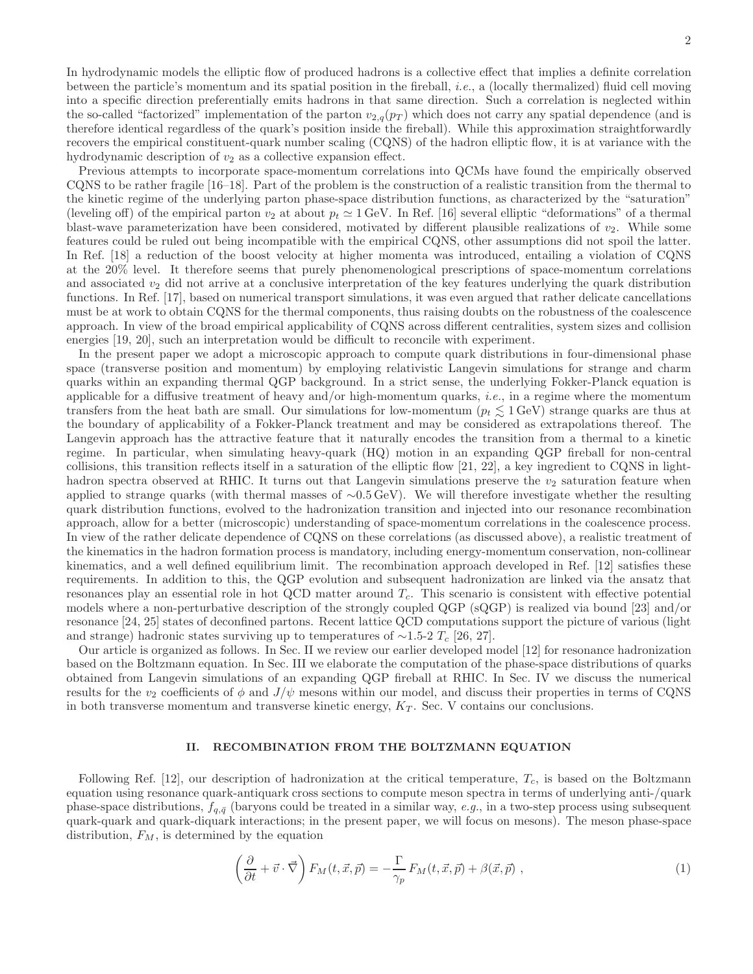In hydrodynamic models the elliptic flow of produced hadrons is a collective effect that implies a definite correlation between the particle's momentum and its spatial position in the fireball, i.e., a (locally thermalized) fluid cell moving into a specific direction preferentially emits hadrons in that same direction. Such a correlation is neglected within the so-called "factorized" implementation of the parton  $v_{2,q}(p_T)$  which does not carry any spatial dependence (and is therefore identical regardless of the quark's position inside the fireball). While this approximation straightforwardly recovers the empirical constituent-quark number scaling (CQNS) of the hadron elliptic flow, it is at variance with the hydrodynamic description of  $v_2$  as a collective expansion effect.

Previous attempts to incorporate space-momentum correlations into QCMs have found the empirically observed CQNS to be rather fragile [\[16](#page-9-7)[–18](#page-9-8)]. Part of the problem is the construction of a realistic transition from the thermal to the kinetic regime of the underlying parton phase-space distribution functions, as characterized by the "saturation" (leveling off) of the empirical parton  $v_2$  at about  $p_t \approx 1$  GeV. In Ref. [\[16\]](#page-9-7) several elliptic "deformations" of a thermal blast-wave parameterization have been considered, motivated by different plausible realizations of  $v_2$ . While some features could be ruled out being incompatible with the empirical CQNS, other assumptions did not spoil the latter. In Ref. [\[18\]](#page-9-8) a reduction of the boost velocity at higher momenta was introduced, entailing a violation of CQNS at the 20% level. It therefore seems that purely phenomenological prescriptions of space-momentum correlations and associated  $v_2$  did not arrive at a conclusive interpretation of the key features underlying the quark distribution functions. In Ref. [\[17\]](#page-9-9), based on numerical transport simulations, it was even argued that rather delicate cancellations must be at work to obtain CQNS for the thermal components, thus raising doubts on the robustness of the coalescence approach. In view of the broad empirical applicability of CQNS across different centralities, system sizes and collision energies [\[19,](#page-9-10) [20\]](#page-9-11), such an interpretation would be difficult to reconcile with experiment.

In the present paper we adopt a microscopic approach to compute quark distributions in four-dimensional phase space (transverse position and momentum) by employing relativistic Langevin simulations for strange and charm quarks within an expanding thermal QGP background. In a strict sense, the underlying Fokker-Planck equation is applicable for a diffusive treatment of heavy and/or high-momentum quarks, *i.e.*, in a regime where the momentum transfers from the heat bath are small. Our simulations for low-momentum ( $p_t \lesssim 1 \,\text{GeV}$ ) strange quarks are thus at the boundary of applicability of a Fokker-Planck treatment and may be considered as extrapolations thereof. The Langevin approach has the attractive feature that it naturally encodes the transition from a thermal to a kinetic regime. In particular, when simulating heavy-quark (HQ) motion in an expanding QGP fireball for non-central collisions, this transition reflects itself in a saturation of the elliptic flow  $[21, 22]$  $[21, 22]$ , a key ingredient to CQNS in lighthadron spectra observed at RHIC. It turns out that Langevin simulations preserve the  $v_2$  saturation feature when applied to strange quarks (with thermal masses of ∼0.5 GeV). We will therefore investigate whether the resulting quark distribution functions, evolved to the hadronization transition and injected into our resonance recombination approach, allow for a better (microscopic) understanding of space-momentum correlations in the coalescence process. In view of the rather delicate dependence of CQNS on these correlations (as discussed above), a realistic treatment of the kinematics in the hadron formation process is mandatory, including energy-momentum conservation, non-collinear kinematics, and a well defined equilibrium limit. The recombination approach developed in Ref. [\[12](#page-9-5)] satisfies these requirements. In addition to this, the QGP evolution and subsequent hadronization are linked via the ansatz that resonances play an essential role in hot QCD matter around  $T_c$ . This scenario is consistent with effective potential models where a non-perturbative description of the strongly coupled QGP (sQGP) is realized via bound [\[23](#page-9-14)] and/or resonance [\[24,](#page-9-15) [25](#page-9-16)] states of deconfined partons. Recent lattice QCD computations support the picture of various (light and strange) hadronic states surviving up to temperatures of ∼1.5-2  $T_c$  [\[26,](#page-9-17) [27\]](#page-9-18).

Our article is organized as follows. In Sec. [II](#page-1-0) we review our earlier developed model [\[12](#page-9-5)] for resonance hadronization based on the Boltzmann equation. In Sec. [III](#page-3-0) we elaborate the computation of the phase-space distributions of quarks obtained from Langevin simulations of an expanding QGP fireball at RHIC. In Sec. [IV](#page-6-0) we discuss the numerical results for the  $v_2$  coefficients of  $\phi$  and  $J/\psi$  mesons within our model, and discuss their properties in terms of CQNS in both transverse momentum and transverse kinetic energy,  $K_T$ . Sec. [V](#page-8-0) contains our conclusions.

### II. RECOMBINATION FROM THE BOLTZMANN EQUATION

<span id="page-1-0"></span>Following Ref. [\[12\]](#page-9-5), our description of hadronization at the critical temperature,  $T_c$ , is based on the Boltzmann equation using resonance quark-antiquark cross sections to compute meson spectra in terms of underlying anti-/quark phase-space distributions,  $f_{q,\bar{q}}$  (baryons could be treated in a similar way, e.g., in a two-step process using subsequent quark-quark and quark-diquark interactions; in the present paper, we will focus on mesons). The meson phase-space distribution,  $F_M$ , is determined by the equation

<span id="page-1-1"></span>
$$
\left(\frac{\partial}{\partial t} + \vec{v} \cdot \vec{\nabla}\right) F_M(t, \vec{x}, \vec{p}) = -\frac{\Gamma}{\gamma_p} F_M(t, \vec{x}, \vec{p}) + \beta(\vec{x}, \vec{p}) \tag{1}
$$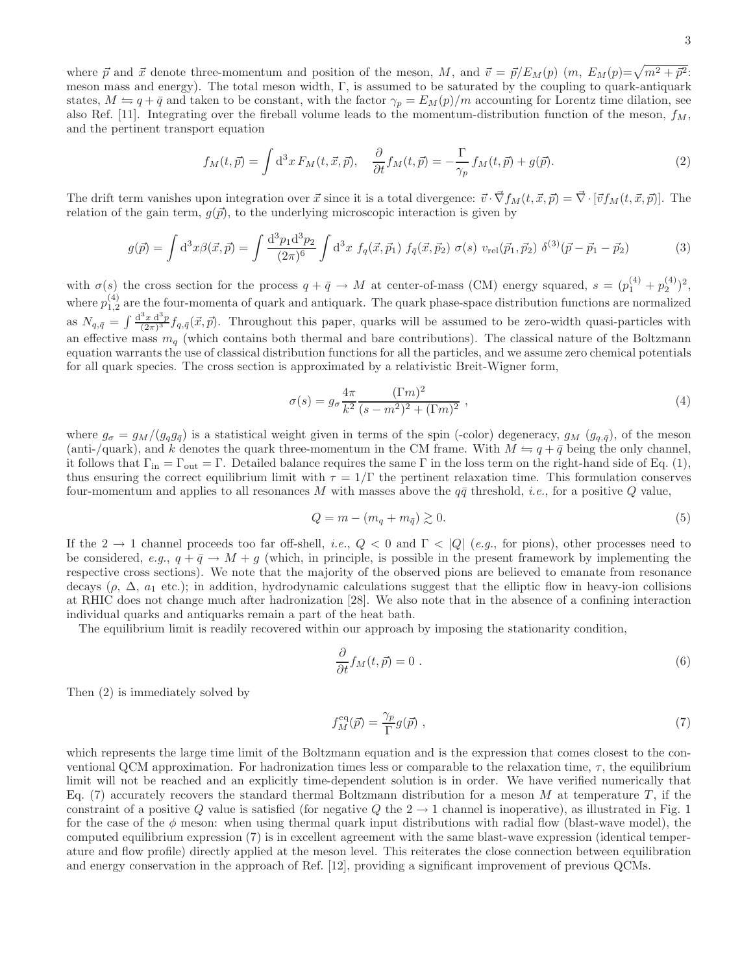where  $\vec{p}$  and  $\vec{x}$  denote three-momentum and position of the meson, M, and  $\vec{v} = \vec{p}/E_M(p)$   $(m, E_M(p)=\sqrt{m^2 + \vec{p}^2})$ . meson mass and energy). The total meson width, Γ, is assumed to be saturated by the coupling to quark-antiquark states,  $M \leftrightharpoons q + \bar{q}$  and taken to be constant, with the factor  $\gamma_p = E_M(p)/m$  accounting for Lorentz time dilation, see also Ref. [\[11\]](#page-9-19). Integrating over the fireball volume leads to the momentum-distribution function of the meson,  $f_M$ , and the pertinent transport equation

<span id="page-2-0"></span>
$$
f_M(t,\vec{p}) = \int d^3x \, F_M(t,\vec{x},\vec{p}), \quad \frac{\partial}{\partial t} f_M(t,\vec{p}) = -\frac{\Gamma}{\gamma_p} \, f_M(t,\vec{p}) + g(\vec{p}).\tag{2}
$$

The drift term vanishes upon integration over  $\vec{x}$  since it is a total divergence:  $\vec{v} \cdot \vec{\nabla} f_M(t, \vec{x}, \vec{p}) = \vec{\nabla} \cdot [\vec{v} f_M(t, \vec{x}, \vec{p})]$ . The relation of the gain term,  $q(\vec{p})$ , to the underlying microscopic interaction is given by

$$
g(\vec{p}) = \int d^3x \beta(\vec{x}, \vec{p}) = \int \frac{d^3p_1 d^3p_2}{(2\pi)^6} \int d^3x \ f_q(\vec{x}, \vec{p}_1) \ f_{\bar{q}}(\vec{x}, \vec{p}_2) \ \sigma(s) \ v_{\text{rel}}(\vec{p}_1, \vec{p}_2) \ \delta^{(3)}(\vec{p} - \vec{p}_1 - \vec{p}_2) \tag{3}
$$

with  $\sigma(s)$  the cross section for the process  $q + \bar{q} \to M$  at center-of-mass (CM) energy squared,  $s = (p_1^{(4)} + p_2^{(4)})^2$ , where  $p_{1,2}^{(4)}$  are the four-momenta of quark and antiquark. The quark phase-space distribution functions are normalized as  $N_{q,\bar{q}} = \int \frac{d^3x d^3p}{(2\pi)^3} f_{q,\bar{q}}(\vec{x},\vec{p}).$  Throughout this paper, quarks will be assumed to be zero-width quasi-particles with an effective mass  $m_q$  (which contains both thermal and bare contributions). The classical nature of the Boltzmann equation warrants the use of classical distribution functions for all the particles, and we assume zero chemical potentials for all quark species. The cross section is approximated by a relativistic Breit-Wigner form,

$$
\sigma(s) = g_{\sigma} \frac{4\pi}{k^2} \frac{(\Gamma m)^2}{(s - m^2)^2 + (\Gamma m)^2} ,
$$
\n(4)

where  $g_{\sigma} = g_M/(g_q g_{\bar{q}})$  is a statistical weight given in terms of the spin (-color) degeneracy,  $g_M (g_{q,\bar{q}})$ , of the meson (anti-/quark), and k denotes the quark three-momentum in the CM frame. With  $M = q + \bar{q}$  being the only channel, it follows that  $\Gamma_{\text{in}} = \Gamma_{\text{out}} = \Gamma$ . Detailed balance requires the same  $\Gamma$  in the loss term on the right-hand side of Eq. [\(1\)](#page-1-1), thus ensuring the correct equilibrium limit with  $\tau = 1/\Gamma$  the pertinent relaxation time. This formulation conserves four-momentum and applies to all resonances M with masses above the  $q\bar{q}$  threshold, *i.e.*, for a positive Q value,

$$
Q = m - (m_q + m_{\bar{q}}) \gtrsim 0. \tag{5}
$$

If the 2  $\rightarrow$  1 channel proceeds too far off-shell, *i.e.*,  $Q < 0$  and  $\Gamma < |Q|$  (*e.g.*, for pions), other processes need to be considered, e.g.,  $q + \bar{q} \rightarrow M + q$  (which, in principle, is possible in the present framework by implementing the respective cross sections). We note that the majority of the observed pions are believed to emanate from resonance decays ( $\rho$ ,  $\Delta$ ,  $a_1$  etc.); in addition, hydrodynamic calculations suggest that the elliptic flow in heavy-ion collisions at RHIC does not change much after hadronization [\[28](#page-9-20)]. We also note that in the absence of a confining interaction individual quarks and antiquarks remain a part of the heat bath.

The equilibrium limit is readily recovered within our approach by imposing the stationarity condition,

$$
\frac{\partial}{\partial t} f_M(t, \vec{p}) = 0 \tag{6}
$$

<span id="page-2-1"></span>Then [\(2\)](#page-2-0) is immediately solved by

$$
f_M^{\text{eq}}(\vec{p}) = \frac{\gamma_p}{\Gamma} g(\vec{p}) \tag{7}
$$

which represents the large time limit of the Boltzmann equation and is the expression that comes closest to the conventional QCM approximation. For hadronization times less or comparable to the relaxation time,  $\tau$ , the equilibrium limit will not be reached and an explicitly time-dependent solution is in order. We have verified numerically that Eq. [\(7\)](#page-2-1) accurately recovers the standard thermal Boltzmann distribution for a meson M at temperature T, if the constraint of a positive Q value is satisfied (for negative Q the  $2 \rightarrow 1$  $2 \rightarrow 1$  channel is inoperative), as illustrated in Fig. 1 for the case of the  $\phi$  meson: when using thermal quark input distributions with radial flow (blast-wave model), the computed equilibrium expression [\(7\)](#page-2-1) is in excellent agreement with the same blast-wave expression (identical temperature and flow profile) directly applied at the meson level. This reiterates the close connection between equilibration and energy conservation in the approach of Ref. [\[12](#page-9-5)], providing a significant improvement of previous QCMs.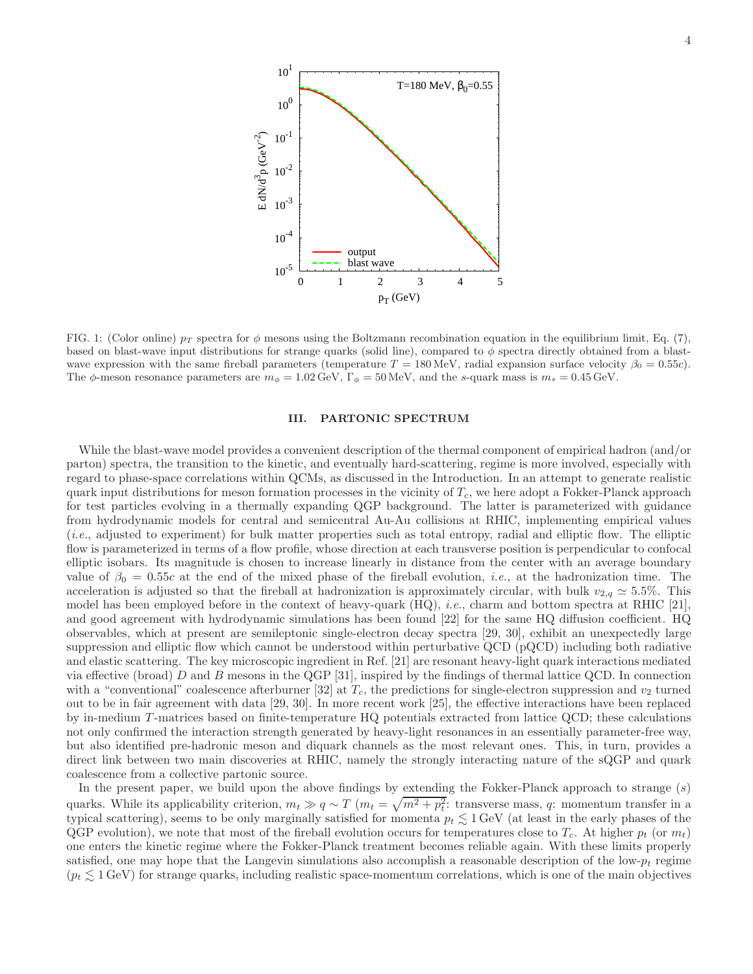

<span id="page-3-1"></span>FIG. 1: (Color online)  $p_T$  spectra for  $\phi$  mesons using the Boltzmann recombination equation in the equilibrium limit, Eq. [\(7\)](#page-2-1), based on blast-wave input distributions for strange quarks (solid line), compared to  $\phi$  spectra directly obtained from a blastwave expression with the same fireball parameters (temperature  $T = 180 \text{ MeV}$ , radial expansion surface velocity  $\beta_0 = 0.55c$ ). The  $\phi$ -meson resonance parameters are  $m_{\phi} = 1.02 \,\text{GeV}$ ,  $\Gamma_{\phi} = 50 \,\text{MeV}$ , and the s-quark mass is  $m_s = 0.45 \,\text{GeV}$ .

#### <span id="page-3-0"></span>III. PARTONIC SPECTRUM

While the blast-wave model provides a convenient description of the thermal component of empirical hadron (and/or parton) spectra, the transition to the kinetic, and eventually hard-scattering, regime is more involved, especially with regard to phase-space correlations within QCMs, as discussed in the Introduction. In an attempt to generate realistic quark input distributions for meson formation processes in the vicinity of  $T_c$ , we here adopt a Fokker-Planck approach for test particles evolving in a thermally expanding QGP background. The latter is parameterized with guidance from hydrodynamic models for central and semicentral Au-Au collisions at RHIC, implementing empirical values  $(i.e.,$  adjusted to experiment) for bulk matter properties such as total entropy, radial and elliptic flow. The elliptic flow is parameterized in terms of a flow profile, whose direction at each transverse position is perpendicular to confocal elliptic isobars. Its magnitude is chosen to increase linearly in distance from the center with an average boundary value of  $\beta_0 = 0.55c$  at the end of the mixed phase of the fireball evolution, *i.e.*, at the hadronization time. The acceleration is adjusted so that the fireball at hadronization is approximately circular, with bulk  $v_{2,q} \approx 5.5\%$ . This model has been employed before in the context of heavy-quark (HQ), i.e., charm and bottom spectra at RHIC [\[21\]](#page-9-12), and good agreement with hydrodynamic simulations has been found [\[22](#page-9-13)] for the same HQ diffusion coefficient. HQ observables, which at present are semileptonic single-electron decay spectra [\[29,](#page-9-21) [30\]](#page-9-22), exhibit an unexpectedly large suppression and elliptic flow which cannot be understood within perturbative QCD (pQCD) including both radiative and elastic scattering. The key microscopic ingredient in Ref. [\[21\]](#page-9-12) are resonant heavy-light quark interactions mediated via effective (broad)  $D$  and  $B$  mesons in the QGP [\[31\]](#page-9-23), inspired by the findings of thermal lattice QCD. In connection with a "conventional" coalescence afterburner [\[32](#page-9-24)] at  $T_c$ , the predictions for single-electron suppression and  $v_2$  turned out to be in fair agreement with data [\[29](#page-9-21), [30](#page-9-22)]. In more recent work [\[25\]](#page-9-16), the effective interactions have been replaced by in-medium T -matrices based on finite-temperature HQ potentials extracted from lattice QCD; these calculations not only confirmed the interaction strength generated by heavy-light resonances in an essentially parameter-free way, but also identified pre-hadronic meson and diquark channels as the most relevant ones. This, in turn, provides a direct link between two main discoveries at RHIC, namely the strongly interacting nature of the sQGP and quark coalescence from a collective partonic source.

In the present paper, we build upon the above findings by extending the Fokker-Planck approach to strange (s) quarks. While its applicability criterion,  $m_t \gg q \sim T$   $(m_t = \sqrt{m^2 + p_t^2})$ : transverse mass, q: momentum transfer in a typical scattering), seems to be only marginally satisfied for momenta  $p_t \lesssim 1 \,\text{GeV}$  (at least in the early phases of the QGP evolution), we note that most of the fireball evolution occurs for temperatures close to  $T_c$ . At higher  $p_t$  (or  $m_t$ ) one enters the kinetic regime where the Fokker-Planck treatment becomes reliable again. With these limits properly satisfied, one may hope that the Langevin simulations also accomplish a reasonable description of the low- $p_t$  regime  $(p_t \leq 1 \,\text{GeV})$  for strange quarks, including realistic space-momentum correlations, which is one of the main objectives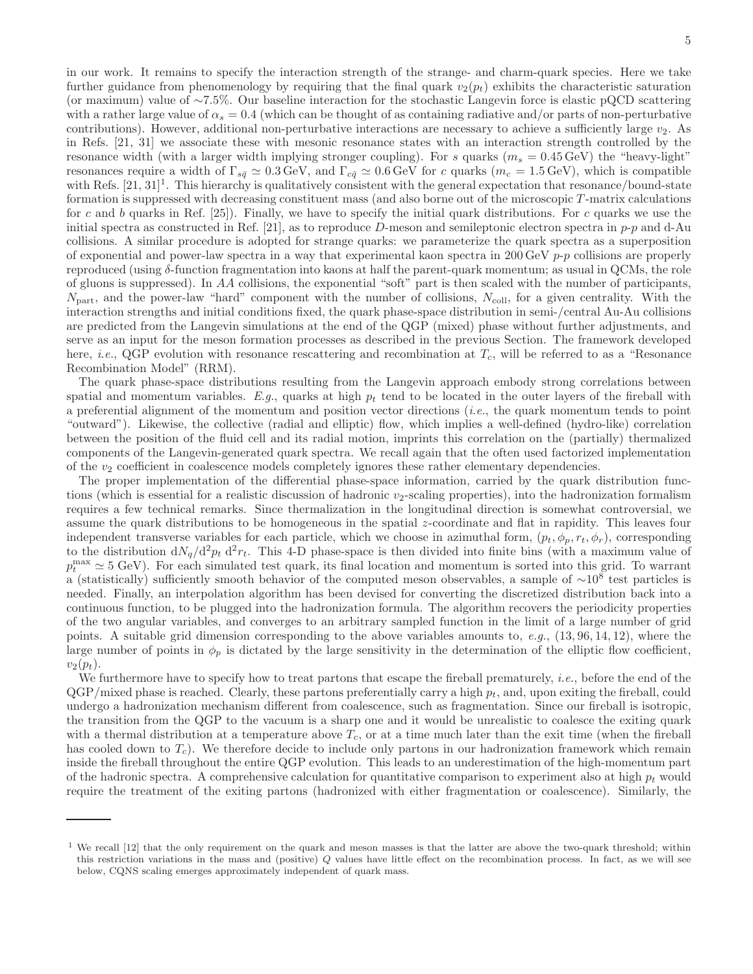in our work. It remains to specify the interaction strength of the strange- and charm-quark species. Here we take further guidance from phenomenology by requiring that the final quark  $v_2(p_t)$  exhibits the characteristic saturation (or maximum) value of ∼7.5%. Our baseline interaction for the stochastic Langevin force is elastic pQCD scattering with a rather large value of  $\alpha_s = 0.4$  (which can be thought of as containing radiative and/or parts of non-perturbative contributions). However, additional non-perturbative interactions are necessary to achieve a sufficiently large  $v_2$ . As in Refs. [\[21,](#page-9-12) [31\]](#page-9-23) we associate these with mesonic resonance states with an interaction strength controlled by the resonance width (with a larger width implying stronger coupling). For s quarks  $(m_s = 0.45 \,\text{GeV})$  the "heavy-light" resonances require a width of  $\Gamma_{s\bar{q}}\simeq 0.3$  GeV, and  $\Gamma_{c\bar{q}}\simeq 0.6$  GeV for c quarks  $(m_c = 1.5 \,\text{GeV})$ , which is compatible with Refs.  $[21, 31]^1$  $[21, 31]^1$  $[21, 31]^1$ . This hierarchy is qualitatively consistent with the general expectation that resonance/bound-state formation is suppressed with decreasing constituent mass (and also borne out of the microscopic T -matrix calculations for c and b quarks in Ref.  $[25]$ . Finally, we have to specify the initial quark distributions. For c quarks we use the initial spectra as constructed in Ref. [\[21\]](#page-9-12), as to reproduce D-meson and semileptonic electron spectra in  $p-p$  and d-Au collisions. A similar procedure is adopted for strange quarks: we parameterize the quark spectra as a superposition of exponential and power-law spectra in a way that experimental kaon spectra in 200 GeV  $p$ -p collisions are properly reproduced (using δ-function fragmentation into kaons at half the parent-quark momentum; as usual in QCMs, the role of gluons is suppressed). In AA collisions, the exponential "soft" part is then scaled with the number of participants,  $N_{\text{part}}$ , and the power-law "hard" component with the number of collisions,  $N_{\text{coll}}$ , for a given centrality. With the interaction strengths and initial conditions fixed, the quark phase-space distribution in semi-/central Au-Au collisions are predicted from the Langevin simulations at the end of the QGP (mixed) phase without further adjustments, and serve as an input for the meson formation processes as described in the previous Section. The framework developed here, *i.e.*, QGP evolution with resonance rescattering and recombination at  $T_c$ , will be referred to as a "Resonance Recombination Model" (RRM).

The quark phase-space distributions resulting from the Langevin approach embody strong correlations between spatial and momentum variables. E.g., quarks at high  $p_t$  tend to be located in the outer layers of the fireball with a preferential alignment of the momentum and position vector directions (i.e., the quark momentum tends to point "outward"). Likewise, the collective (radial and elliptic) flow, which implies a well-defined (hydro-like) correlation between the position of the fluid cell and its radial motion, imprints this correlation on the (partially) thermalized components of the Langevin-generated quark spectra. We recall again that the often used factorized implementation of the  $v_2$  coefficient in coalescence models completely ignores these rather elementary dependencies.

The proper implementation of the differential phase-space information, carried by the quark distribution functions (which is essential for a realistic discussion of hadronic  $v_2$ -scaling properties), into the hadronization formalism requires a few technical remarks. Since thermalization in the longitudinal direction is somewhat controversial, we assume the quark distributions to be homogeneous in the spatial z-coordinate and flat in rapidity. This leaves four independent transverse variables for each particle, which we choose in azimuthal form,  $(p_t, \phi_p, r_t, \phi_r)$ , corresponding to the distribution  $dN_q/d^2p_t d^2r_t$ . This 4-D phase-space is then divided into finite bins (with a maximum value of  $p_t^{\text{max}} \simeq 5$  GeV). For each simulated test quark, its final location and momentum is sorted into this grid. To warrant a (statistically) sufficiently smooth behavior of the computed meson observables, a sample of ~10<sup>8</sup> test particles is needed. Finally, an interpolation algorithm has been devised for converting the discretized distribution back into a continuous function, to be plugged into the hadronization formula. The algorithm recovers the periodicity properties of the two angular variables, and converges to an arbitrary sampled function in the limit of a large number of grid points. A suitable grid dimension corresponding to the above variables amounts to, e.g., (13, 96, 14, 12), where the large number of points in  $\phi_p$  is dictated by the large sensitivity in the determination of the elliptic flow coefficient,  $v_2(p_t)$ .

We furthermore have to specify how to treat partons that escape the fireball prematurely, *i.e.*, before the end of the  $QGP/mixed phase$  is reached. Clearly, these partons preferentially carry a high  $p_t$ , and, upon exiting the fireball, could undergo a hadronization mechanism different from coalescence, such as fragmentation. Since our fireball is isotropic, the transition from the QGP to the vacuum is a sharp one and it would be unrealistic to coalesce the exiting quark with a thermal distribution at a temperature above  $T_c$ , or at a time much later than the exit time (when the fireball has cooled down to  $T_c$ ). We therefore decide to include only partons in our hadronization framework which remain inside the fireball throughout the entire QGP evolution. This leads to an underestimation of the high-momentum part of the hadronic spectra. A comprehensive calculation for quantitative comparison to experiment also at high  $p_t$  would require the treatment of the exiting partons (hadronized with either fragmentation or coalescence). Similarly, the

<sup>&</sup>lt;sup>1</sup> We recall [\[12](#page-9-5)] that the only requirement on the quark and meson masses is that the latter are above the two-quark threshold; within this restriction variations in the mass and (positive) Q values have little effect on the recombination process. In fact, as we will see below, CQNS scaling emerges approximately independent of quark mass.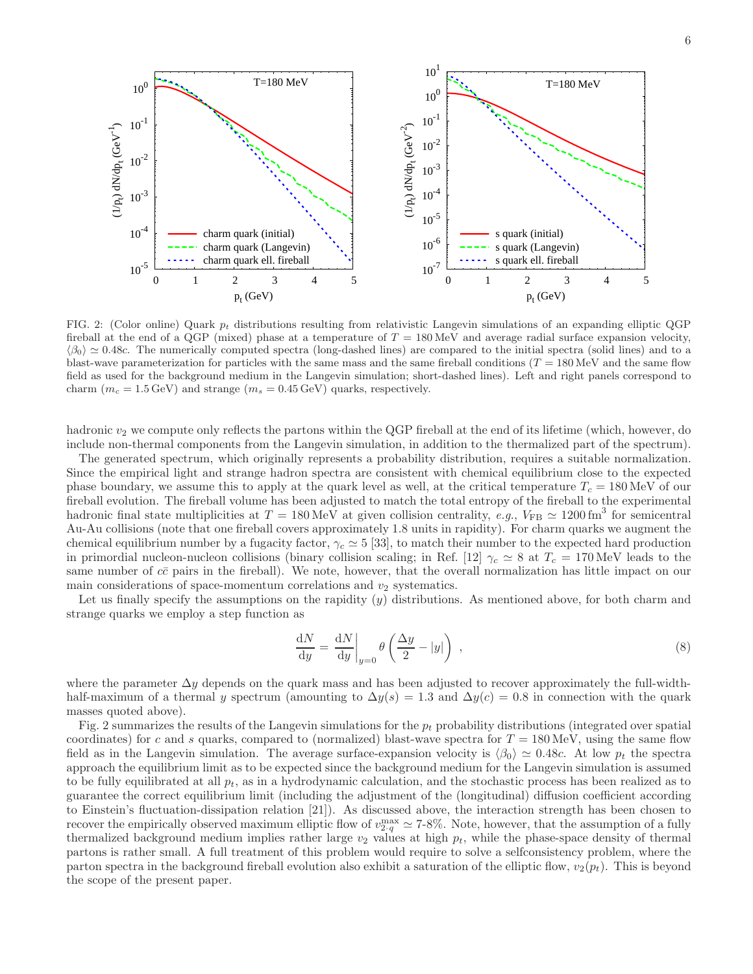

<span id="page-5-0"></span>FIG. 2: (Color online) Quark  $p_t$  distributions resulting from relativistic Langevin simulations of an expanding elliptic QGP fireball at the end of a QGP (mixed) phase at a temperature of  $T = 180 \,\text{MeV}$  and average radial surface expansion velocity,  $\langle \beta_0 \rangle \simeq 0.48c$ . The numerically computed spectra (long-dashed lines) are compared to the initial spectra (solid lines) and to a blast-wave parameterization for particles with the same mass and the same fireball conditions  $(T = 180 \,\text{MeV})$  and the same flow field as used for the background medium in the Langevin simulation; short-dashed lines). Left and right panels correspond to charm ( $m_c = 1.5$  GeV) and strange ( $m_s = 0.45$  GeV) quarks, respectively.

hadronic  $v_2$  we compute only reflects the partons within the QGP fireball at the end of its lifetime (which, however, do include non-thermal components from the Langevin simulation, in addition to the thermalized part of the spectrum).

The generated spectrum, which originally represents a probability distribution, requires a suitable normalization. Since the empirical light and strange hadron spectra are consistent with chemical equilibrium close to the expected phase boundary, we assume this to apply at the quark level as well, at the critical temperature  $T_c = 180 \,\text{MeV}$  of our fireball evolution. The fireball volume has been adjusted to match the total entropy of the fireball to the experimental hadronic final state multiplicities at  $T = 180 \text{ MeV}$  at given collision centrality,  $e.g., V_{FB} \simeq 1200 \text{ fm}^3$  for semicentral Au-Au collisions (note that one fireball covers approximately 1.8 units in rapidity). For charm quarks we augment the chemical equilibrium number by a fugacity factor,  $\gamma_c \simeq 5$  [\[33](#page-9-25)], to match their number to the expected hard production in primordial nucleon-nucleon collisions (binary collision scaling; in Ref. [\[12\]](#page-9-5)  $\gamma_c \approx 8$  at  $T_c = 170$  MeV leads to the same number of  $c\bar{c}$  pairs in the fireball). We note, however, that the overall normalization has little impact on our main considerations of space-momentum correlations and  $v_2$  systematics.

Let us finally specify the assumptions on the rapidity  $(y)$  distributions. As mentioned above, for both charm and strange quarks we employ a step function as

$$
\frac{dN}{dy} = \frac{dN}{dy}\bigg|_{y=0} \theta\left(\frac{\Delta y}{2} - |y|\right) ,\qquad (8)
$$

where the parameter  $\Delta y$  depends on the quark mass and has been adjusted to recover approximately the full-widthhalf-maximum of a thermal y spectrum (amounting to  $\Delta y(s) = 1.3$  and  $\Delta y(c) = 0.8$  in connection with the quark masses quoted above).

Fig. [2](#page-5-0) summarizes the results of the Langevin simulations for the  $p_t$  probability distributions (integrated over spatial coordinates) for c and s quarks, compared to (normalized) blast-wave spectra for  $T = 180 \,\text{MeV}$ , using the same flow field as in the Langevin simulation. The average surface-expansion velocity is  $\langle \beta_0 \rangle \simeq 0.48c$ . At low  $p_t$  the spectra approach the equilibrium limit as to be expected since the background medium for the Langevin simulation is assumed to be fully equilibrated at all  $p_t$ , as in a hydrodynamic calculation, and the stochastic process has been realized as to guarantee the correct equilibrium limit (including the adjustment of the (longitudinal) diffusion coefficient according to Einstein's fluctuation-dissipation relation [\[21\]](#page-9-12)). As discussed above, the interaction strength has been chosen to recover the empirically observed maximum elliptic flow of  $v_{2,q}^{\max} \simeq 7.8\%$ . Note, however, that the assumption of a fully thermalized background medium implies rather large  $v_2$  values at high  $p_t$ , while the phase-space density of thermal partons is rather small. A full treatment of this problem would require to solve a selfconsistency problem, where the parton spectra in the background fireball evolution also exhibit a saturation of the elliptic flow,  $v_2(p_t)$ . This is beyond the scope of the present paper.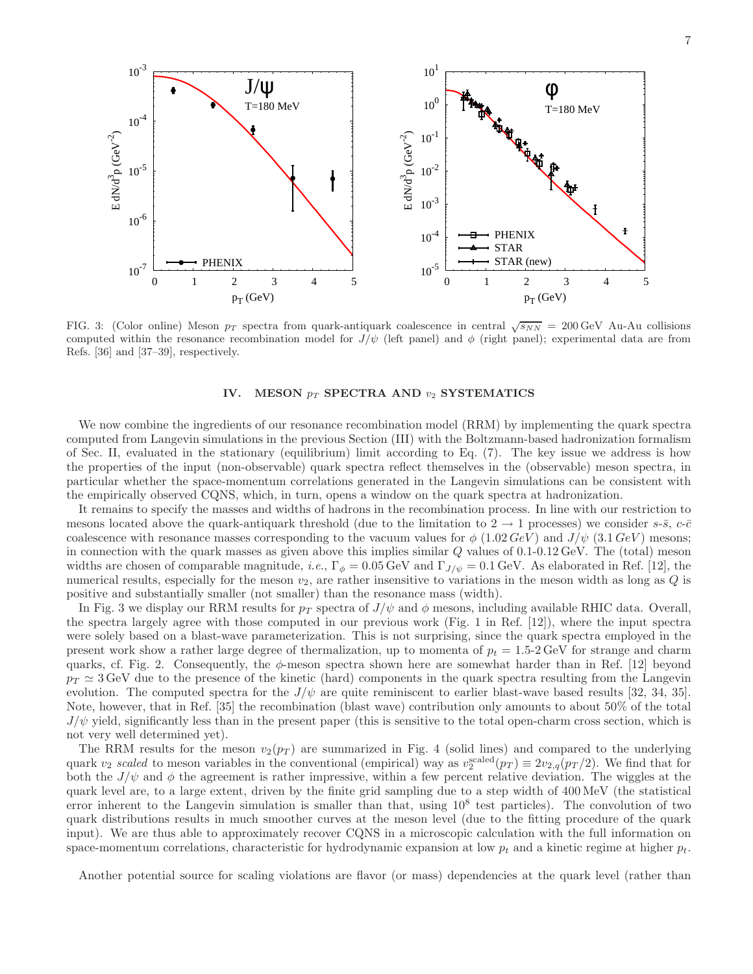

<span id="page-6-1"></span>FIG. 3: (Color online) Meson  $p_T$  spectra from quark-antiquark coalescence in central  $\sqrt{s_{NN}} = 200 \,\text{GeV}$  Au-Au collisions computed within the resonance recombination model for  $J/\psi$  (left panel) and  $\phi$  (right panel); experimental data are from Refs. [\[36\]](#page-9-26) and [\[37](#page-9-27)[–39\]](#page-10-0), respectively.

#### IV. MESON  $p_T$  SPECTRA AND  $v_2$  SYSTEMATICS

<span id="page-6-0"></span>We now combine the ingredients of our resonance recombination model (RRM) by implementing the quark spectra computed from Langevin simulations in the previous Section [\(III\)](#page-3-0) with the Boltzmann-based hadronization formalism of Sec. [II,](#page-1-0) evaluated in the stationary (equilibrium) limit according to Eq. [\(7\)](#page-2-1). The key issue we address is how the properties of the input (non-observable) quark spectra reflect themselves in the (observable) meson spectra, in particular whether the space-momentum correlations generated in the Langevin simulations can be consistent with the empirically observed CQNS, which, in turn, opens a window on the quark spectra at hadronization.

It remains to specify the masses and widths of hadrons in the recombination process. In line with our restriction to mesons located above the quark-antiquark threshold (due to the limitation to  $2 \rightarrow 1$  processes) we consider s- $\bar{s}$ , c- $\bar{c}$ coalescence with resonance masses corresponding to the vacuum values for  $\phi$  (1.02 GeV) and  $J/\psi$  (3.1 GeV) mesons; in connection with the quark masses as given above this implies similar  $Q$  values of  $0.1{\text -}0.12 \,\text{GeV}$ . The (total) meson widths are chosen of comparable magnitude, i.e.,  $\Gamma_{\phi} = 0.05 \,\text{GeV}$  and  $\Gamma_{J/\psi} = 0.1 \,\text{GeV}$ . As elaborated in Ref. [\[12\]](#page-9-5), the numerical results, especially for the meson  $v_2$ , are rather insensitive to variations in the meson width as long as  $Q$  is positive and substantially smaller (not smaller) than the resonance mass (width).

In Fig. [3](#page-6-1) we display our RRM results for  $p_T$  spectra of  $J/\psi$  and  $\phi$  mesons, including available RHIC data. Overall, the spectra largely agree with those computed in our previous work (Fig. 1 in Ref. [\[12](#page-9-5)]), where the input spectra were solely based on a blast-wave parameterization. This is not surprising, since the quark spectra employed in the present work show a rather large degree of thermalization, up to momenta of  $p_t = 1.5{\text -}2 \text{ GeV}$  for strange and charm quarks, cf. Fig. [2.](#page-5-0) Consequently, the  $\phi$ -meson spectra shown here are somewhat harder than in Ref. [\[12\]](#page-9-5) beyond  $p_T \simeq 3$  GeV due to the presence of the kinetic (hard) components in the quark spectra resulting from the Langevin evolution. The computed spectra for the  $J/\psi$  are quite reminiscent to earlier blast-wave based results [\[32](#page-9-24), [34](#page-9-28), [35\]](#page-9-29). Note, however, that in Ref. [\[35](#page-9-29)] the recombination (blast wave) contribution only amounts to about 50% of the total  $J/\psi$  yield, significantly less than in the present paper (this is sensitive to the total open-charm cross section, which is not very well determined yet).

The RRM results for the meson  $v_2(p_T)$  are summarized in Fig. [4](#page-7-0) (solid lines) and compared to the underlying quark  $v_2$  scaled to meson variables in the conventional (empirical) way as  $v_2^{\text{scaled}}(p_T) \equiv 2v_{2,q}(p_T/2)$ . We find that for both the  $J/\psi$  and  $\phi$  the agreement is rather impressive, within a few percent relative deviation. The wiggles at the quark level are, to a large extent, driven by the finite grid sampling due to a step width of 400 MeV (the statistical error inherent to the Langevin simulation is smaller than that, using  $10^8$  test particles). The convolution of two quark distributions results in much smoother curves at the meson level (due to the fitting procedure of the quark input). We are thus able to approximately recover CQNS in a microscopic calculation with the full information on space-momentum correlations, characteristic for hydrodynamic expansion at low  $p_t$  and a kinetic regime at higher  $p_t$ .

Another potential source for scaling violations are flavor (or mass) dependencies at the quark level (rather than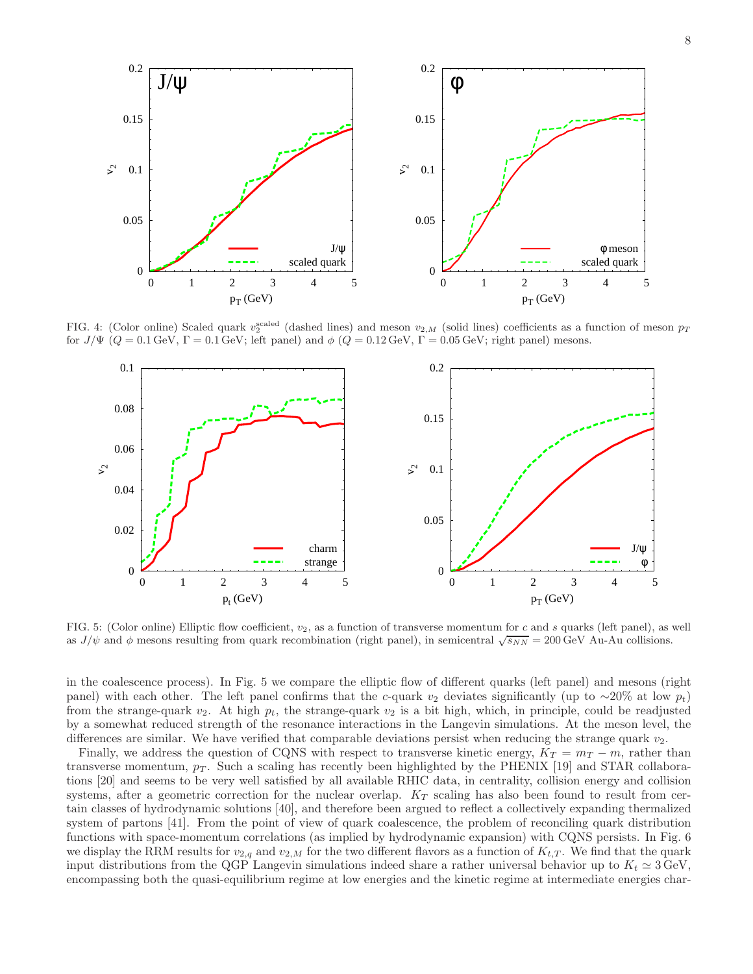

<span id="page-7-0"></span>FIG. 4: (Color online) Scaled quark  $v_2^{\text{scaled}}$  (dashed lines) and meson  $v_{2,M}$  (solid lines) coefficients as a function of meson  $p_T$ for  $J/\Psi$  ( $Q = 0.1$  GeV,  $\Gamma = 0.1$  GeV; left panel) and  $\phi$  ( $Q = 0.12$  GeV,  $\Gamma = 0.05$  GeV; right panel) mesons.



<span id="page-7-1"></span>FIG. 5: (Color online) Elliptic flow coefficient,  $v_2$ , as a function of transverse momentum for c and s quarks (left panel), as well as  $J/\psi$  and  $\phi$  mesons resulting from quark recombination (right panel), in semicentral  $\sqrt{s_{NN}} = 200 \,\text{GeV}$  Au-Au collisions.

in the coalescence process). In Fig. [5](#page-7-1) we compare the elliptic flow of different quarks (left panel) and mesons (right panel) with each other. The left panel confirms that the c-quark v<sub>2</sub> deviates significantly (up to ∼20% at low  $p_t$ ) from the strange-quark  $v_2$ . At high  $p_t$ , the strange-quark  $v_2$  is a bit high, which, in principle, could be readjusted by a somewhat reduced strength of the resonance interactions in the Langevin simulations. At the meson level, the differences are similar. We have verified that comparable deviations persist when reducing the strange quark  $v_2$ .

Finally, we address the question of CQNS with respect to transverse kinetic energy,  $K_T = m_T - m$ , rather than transverse momentum,  $p_T$ . Such a scaling has recently been highlighted by the PHENIX [\[19\]](#page-9-10) and STAR collaborations [\[20\]](#page-9-11) and seems to be very well satisfied by all available RHIC data, in centrality, collision energy and collision systems, after a geometric correction for the nuclear overlap.  $K_T$  scaling has also been found to result from certain classes of hydrodynamic solutions [\[40\]](#page-10-1), and therefore been argued to reflect a collectively expanding thermalized system of partons [\[41\]](#page-10-2). From the point of view of quark coalescence, the problem of reconciling quark distribution functions with space-momentum correlations (as implied by hydrodynamic expansion) with CQNS persists. In Fig. [6](#page-8-1) we display the RRM results for  $v_{2,q}$  and  $v_{2,M}$  for the two different flavors as a function of  $K_{t,T}$ . We find that the quark input distributions from the QGP Langevin simulations indeed share a rather universal behavior up to  $K_t \approx 3 \text{ GeV}$ , encompassing both the quasi-equilibrium regime at low energies and the kinetic regime at intermediate energies char-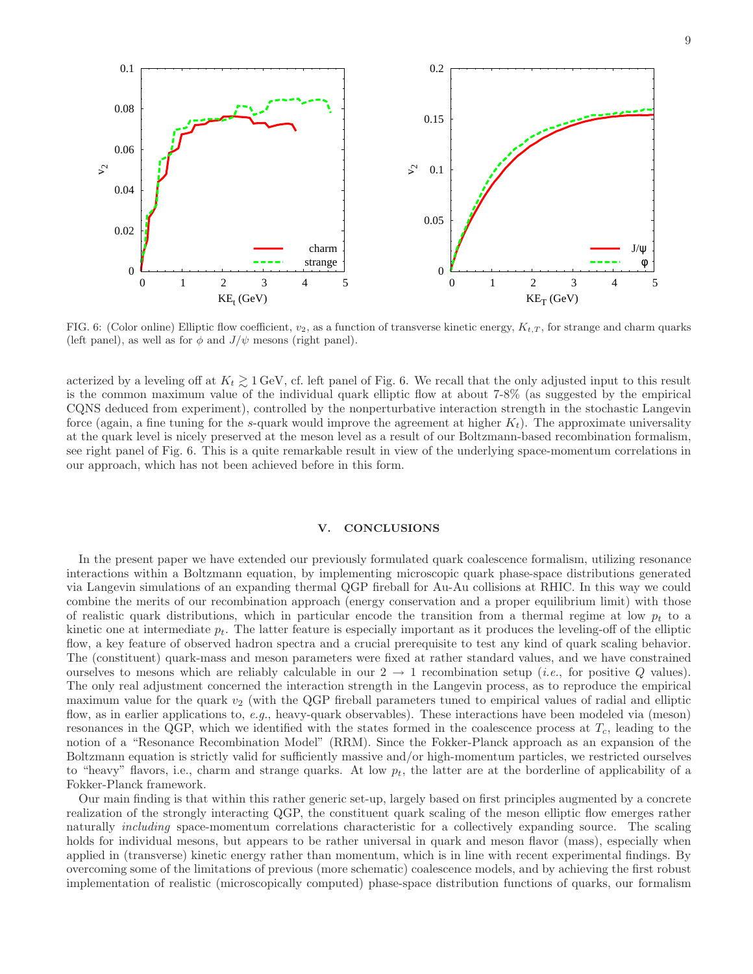

<span id="page-8-1"></span>FIG. 6: (Color online) Elliptic flow coefficient,  $v_2$ , as a function of transverse kinetic energy,  $K_{t,T}$ , for strange and charm quarks (left panel), as well as for  $\phi$  and  $J/\psi$  mesons (right panel).

acterized by a leveling off at  $K_t \gtrsim 1$  GeV, cf. left panel of Fig. [6.](#page-8-1) We recall that the only adjusted input to this result is the common maximum value of the individual quark elliptic flow at about 7-8% (as suggested by the empirical CQNS deduced from experiment), controlled by the nonperturbative interaction strength in the stochastic Langevin force (again, a fine tuning for the s-quark would improve the agreement at higher  $K_t$ ). The approximate universality at the quark level is nicely preserved at the meson level as a result of our Boltzmann-based recombination formalism, see right panel of Fig. [6.](#page-8-1) This is a quite remarkable result in view of the underlying space-momentum correlations in our approach, which has not been achieved before in this form.

#### <span id="page-8-0"></span>V. CONCLUSIONS

In the present paper we have extended our previously formulated quark coalescence formalism, utilizing resonance interactions within a Boltzmann equation, by implementing microscopic quark phase-space distributions generated via Langevin simulations of an expanding thermal QGP fireball for Au-Au collisions at RHIC. In this way we could combine the merits of our recombination approach (energy conservation and a proper equilibrium limit) with those of realistic quark distributions, which in particular encode the transition from a thermal regime at low  $p_t$  to a kinetic one at intermediate  $p_t$ . The latter feature is especially important as it produces the leveling-off of the elliptic flow, a key feature of observed hadron spectra and a crucial prerequisite to test any kind of quark scaling behavior. The (constituent) quark-mass and meson parameters were fixed at rather standard values, and we have constrained ourselves to mesons which are reliably calculable in our  $2 \rightarrow 1$  recombination setup (*i.e.*, for positive Q values). The only real adjustment concerned the interaction strength in the Langevin process, as to reproduce the empirical maximum value for the quark  $v_2$  (with the QGP fireball parameters tuned to empirical values of radial and elliptic flow, as in earlier applications to, e.g., heavy-quark observables). These interactions have been modeled via (meson) resonances in the QGP, which we identified with the states formed in the coalescence process at  $T_c$ , leading to the notion of a "Resonance Recombination Model" (RRM). Since the Fokker-Planck approach as an expansion of the Boltzmann equation is strictly valid for sufficiently massive and/or high-momentum particles, we restricted ourselves to "heavy" flavors, i.e., charm and strange quarks. At low  $p_t$ , the latter are at the borderline of applicability of a Fokker-Planck framework.

Our main finding is that within this rather generic set-up, largely based on first principles augmented by a concrete realization of the strongly interacting QGP, the constituent quark scaling of the meson elliptic flow emerges rather naturally including space-momentum correlations characteristic for a collectively expanding source. The scaling holds for individual mesons, but appears to be rather universal in quark and meson flavor (mass), especially when applied in (transverse) kinetic energy rather than momentum, which is in line with recent experimental findings. By overcoming some of the limitations of previous (more schematic) coalescence models, and by achieving the first robust implementation of realistic (microscopically computed) phase-space distribution functions of quarks, our formalism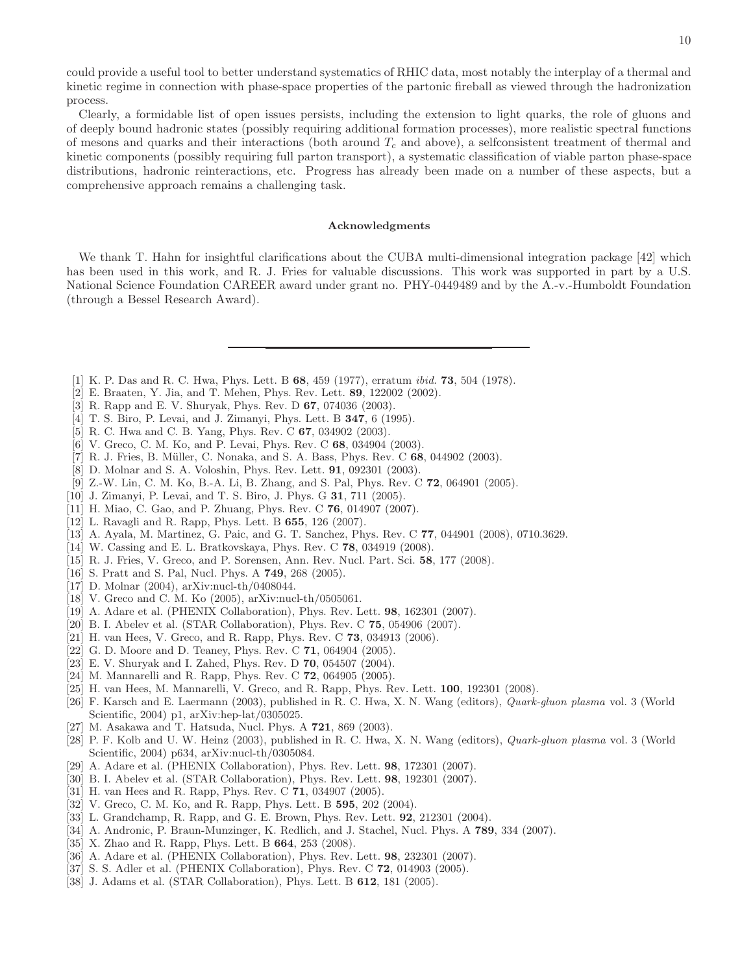could provide a useful tool to better understand systematics of RHIC data, most notably the interplay of a thermal and kinetic regime in connection with phase-space properties of the partonic fireball as viewed through the hadronization process.

Clearly, a formidable list of open issues persists, including the extension to light quarks, the role of gluons and of deeply bound hadronic states (possibly requiring additional formation processes), more realistic spectral functions of mesons and quarks and their interactions (both around  $T_c$  and above), a selfconsistent treatment of thermal and kinetic components (possibly requiring full parton transport), a systematic classification of viable parton phase-space distributions, hadronic reinteractions, etc. Progress has already been made on a number of these aspects, but a comprehensive approach remains a challenging task.

#### Acknowledgments

We thank T. Hahn for insightful clarifications about the CUBA multi-dimensional integration package [\[42\]](#page-10-3) which has been used in this work, and R. J. Fries for valuable discussions. This work was supported in part by a U.S. National Science Foundation CAREER award under grant no. PHY-0449489 and by the A.-v.-Humboldt Foundation (through a Bessel Research Award).

- <span id="page-9-0"></span>[1] K. P. Das and R. C. Hwa, Phys. Lett. B 68, 459 (1977), erratum ibid. 73, 504 (1978).
- [2] E. Braaten, Y. Jia, and T. Mehen, Phys. Rev. Lett. 89, 122002 (2002).
- <span id="page-9-1"></span>[3] R. Rapp and E. V. Shuryak, Phys. Rev. D 67, 074036 (2003).
- <span id="page-9-2"></span>[4] T. S. Biro, P. Levai, and J. Zimanyi, Phys. Lett. B **347**, 6 (1995).
- <span id="page-9-3"></span>[5] R. C. Hwa and C. B. Yang, Phys. Rev. C 67, 034902 (2003).
- [6] V. Greco, C. M. Ko, and P. Levai, Phys. Rev. C 68, 034904 (2003).
- [7] R. J. Fries, B. Müller, C. Nonaka, and S. A. Bass, Phys. Rev. C 68, 044902 (2003).
- [8] D. Molnar and S. A. Voloshin, Phys. Rev. Lett. 91, 092301 (2003).
- [9] Z.-W. Lin, C. M. Ko, B.-A. Li, B. Zhang, and S. Pal, Phys. Rev. C 72, 064901 (2005).
- [10] J. Zimanyi, P. Levai, and T. S. Biro, J. Phys. G 31, 711 (2005).
- <span id="page-9-19"></span>[11] H. Miao, C. Gao, and P. Zhuang, Phys. Rev. C 76, 014907 (2007).
- <span id="page-9-5"></span>[12] L. Ravagli and R. Rapp, Phys. Lett. B 655, 126 (2007).
- [13] A. Ayala, M. Martinez, G. Paic, and G. T. Sanchez, Phys. Rev. C 77, 044901 (2008), 0710.3629.
- <span id="page-9-6"></span><span id="page-9-4"></span>[14] W. Cassing and E. L. Bratkovskaya, Phys. Rev. C 78, 034919 (2008).
- [15] R. J. Fries, V. Greco, and P. Sorensen, Ann. Rev. Nucl. Part. Sci. 58, 177 (2008).
- <span id="page-9-9"></span><span id="page-9-7"></span>[16] S. Pratt and S. Pal, Nucl. Phys. A 749, 268 (2005).
- [17] D. Molnar (2004), arXiv:nucl-th/0408044.
- <span id="page-9-8"></span>[18] V. Greco and C. M. Ko (2005), arXiv:nucl-th/0505061.
- <span id="page-9-10"></span>[19] A. Adare et al. (PHENIX Collaboration), Phys. Rev. Lett. 98, 162301 (2007).
- <span id="page-9-11"></span>[20] B. I. Abelev et al. (STAR Collaboration), Phys. Rev. C 75, 054906 (2007).
- <span id="page-9-12"></span>[21] H. van Hees, V. Greco, and R. Rapp, Phys. Rev. C 73, 034913 (2006).
- <span id="page-9-13"></span>[22] G. D. Moore and D. Teaney, Phys. Rev. C 71, 064904 (2005).
- <span id="page-9-14"></span>[23] E. V. Shuryak and I. Zahed, Phys. Rev. D 70, 054507 (2004).
- <span id="page-9-15"></span>[24] M. Mannarelli and R. Rapp, Phys. Rev. C 72, 064905 (2005).
- <span id="page-9-16"></span>[25] H. van Hees, M. Mannarelli, V. Greco, and R. Rapp, Phys. Rev. Lett. **100**, 192301 (2008).
- <span id="page-9-17"></span>[26] F. Karsch and E. Laermann (2003), published in R. C. Hwa, X. N. Wang (editors), Quark-gluon plasma vol. 3 (World Scientific, 2004) p1, arXiv:hep-lat/0305025.
- <span id="page-9-18"></span>[27] M. Asakawa and T. Hatsuda, Nucl. Phys. A 721, 869 (2003).
- <span id="page-9-20"></span>[28] P. F. Kolb and U. W. Heinz (2003), published in R. C. Hwa, X. N. Wang (editors), *Quark-gluon plasma* vol. 3 (World Scientific, 2004) p634, arXiv:nucl-th/0305084.
- <span id="page-9-21"></span>[29] A. Adare et al. (PHENIX Collaboration), Phys. Rev. Lett. 98, 172301 (2007).
- <span id="page-9-22"></span>[30] B. I. Abelev et al. (STAR Collaboration), Phys. Rev. Lett. 98, 192301 (2007).
- <span id="page-9-23"></span>[31] H. van Hees and R. Rapp, Phys. Rev. C **71**, 034907 (2005).
- <span id="page-9-24"></span>[32] V. Greco, C. M. Ko, and R. Rapp, Phys. Lett. B **595**, 202 (2004).
- <span id="page-9-25"></span>[33] L. Grandchamp, R. Rapp, and G. E. Brown, Phys. Rev. Lett. **92**, 212301 (2004).
- <span id="page-9-28"></span>[34] A. Andronic, P. Braun-Munzinger, K. Redlich, and J. Stachel, Nucl. Phys. A 789, 334 (2007).
- <span id="page-9-29"></span>[35] X. Zhao and R. Rapp, Phys. Lett. B 664, 253 (2008).
- <span id="page-9-26"></span>[36] A. Adare et al. (PHENIX Collaboration), Phys. Rev. Lett. 98, 232301 (2007).
- <span id="page-9-27"></span>[37] S. S. Adler et al. (PHENIX Collaboration), Phys. Rev. C 72, 014903 (2005).
- [38] J. Adams et al. (STAR Collaboration), Phys. Lett. B 612, 181 (2005).